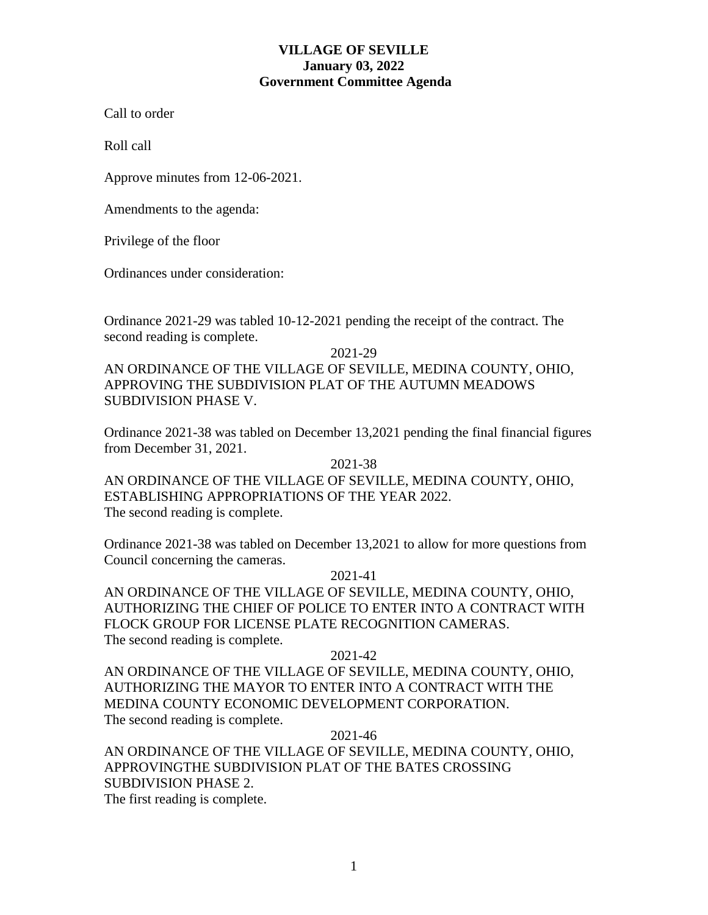## **VILLAGE OF SEVILLE January 03, 2022 Government Committee Agenda**

Call to order

Roll call

Approve minutes from 12-06-2021.

Amendments to the agenda:

Privilege of the floor

Ordinances under consideration:

Ordinance 2021-29 was tabled 10-12-2021 pending the receipt of the contract. The second reading is complete.

2021-29

AN ORDINANCE OF THE VILLAGE OF SEVILLE, MEDINA COUNTY, OHIO, APPROVING THE SUBDIVISION PLAT OF THE AUTUMN MEADOWS SUBDIVISION PHASE V.

Ordinance 2021-38 was tabled on December 13,2021 pending the final financial figures from December 31, 2021.

2021-38 AN ORDINANCE OF THE VILLAGE OF SEVILLE, MEDINA COUNTY, OHIO, ESTABLISHING APPROPRIATIONS OF THE YEAR 2022. The second reading is complete.

Ordinance 2021-38 was tabled on December 13,2021 to allow for more questions from Council concerning the cameras.

2021-41

AN ORDINANCE OF THE VILLAGE OF SEVILLE, MEDINA COUNTY, OHIO, AUTHORIZING THE CHIEF OF POLICE TO ENTER INTO A CONTRACT WITH FLOCK GROUP FOR LICENSE PLATE RECOGNITION CAMERAS. The second reading is complete.

#### 2021-42

AN ORDINANCE OF THE VILLAGE OF SEVILLE, MEDINA COUNTY, OHIO, AUTHORIZING THE MAYOR TO ENTER INTO A CONTRACT WITH THE MEDINA COUNTY ECONOMIC DEVELOPMENT CORPORATION. The second reading is complete.

## 2021-46

AN ORDINANCE OF THE VILLAGE OF SEVILLE, MEDINA COUNTY, OHIO, APPROVINGTHE SUBDIVISION PLAT OF THE BATES CROSSING SUBDIVISION PHASE 2.

The first reading is complete.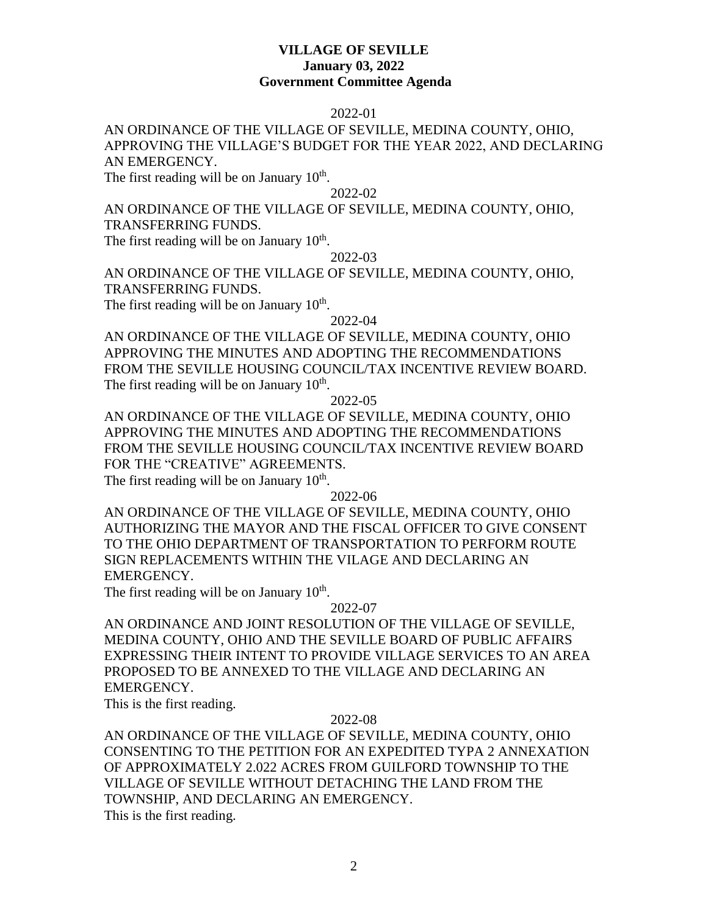### **VILLAGE OF SEVILLE January 03, 2022 Government Committee Agenda**

## 2022-01

# AN ORDINANCE OF THE VILLAGE OF SEVILLE, MEDINA COUNTY, OHIO, APPROVING THE VILLAGE'S BUDGET FOR THE YEAR 2022, AND DECLARING AN EMERGENCY.

The first reading will be on January  $10<sup>th</sup>$ .

### 2022-02

## AN ORDINANCE OF THE VILLAGE OF SEVILLE, MEDINA COUNTY, OHIO, TRANSFERRING FUNDS.

The first reading will be on January  $10<sup>th</sup>$ .

#### 2022-03

AN ORDINANCE OF THE VILLAGE OF SEVILLE, MEDINA COUNTY, OHIO, TRANSFERRING FUNDS.

The first reading will be on January  $10<sup>th</sup>$ .

### 2022-04

AN ORDINANCE OF THE VILLAGE OF SEVILLE, MEDINA COUNTY, OHIO APPROVING THE MINUTES AND ADOPTING THE RECOMMENDATIONS FROM THE SEVILLE HOUSING COUNCIL/TAX INCENTIVE REVIEW BOARD. The first reading will be on January  $10<sup>th</sup>$ .

### 2022-05

AN ORDINANCE OF THE VILLAGE OF SEVILLE, MEDINA COUNTY, OHIO APPROVING THE MINUTES AND ADOPTING THE RECOMMENDATIONS FROM THE SEVILLE HOUSING COUNCIL/TAX INCENTIVE REVIEW BOARD FOR THE "CREATIVE" AGREEMENTS.

The first reading will be on January  $10<sup>th</sup>$ .

2022-06

AN ORDINANCE OF THE VILLAGE OF SEVILLE, MEDINA COUNTY, OHIO AUTHORIZING THE MAYOR AND THE FISCAL OFFICER TO GIVE CONSENT TO THE OHIO DEPARTMENT OF TRANSPORTATION TO PERFORM ROUTE SIGN REPLACEMENTS WITHIN THE VILAGE AND DECLARING AN EMERGENCY.

The first reading will be on January  $10<sup>th</sup>$ .

#### 2022-07

AN ORDINANCE AND JOINT RESOLUTION OF THE VILLAGE OF SEVILLE, MEDINA COUNTY, OHIO AND THE SEVILLE BOARD OF PUBLIC AFFAIRS EXPRESSING THEIR INTENT TO PROVIDE VILLAGE SERVICES TO AN AREA PROPOSED TO BE ANNEXED TO THE VILLAGE AND DECLARING AN EMERGENCY.

This is the first reading.

#### 2022-08

AN ORDINANCE OF THE VILLAGE OF SEVILLE, MEDINA COUNTY, OHIO CONSENTING TO THE PETITION FOR AN EXPEDITED TYPA 2 ANNEXATION OF APPROXIMATELY 2.022 ACRES FROM GUILFORD TOWNSHIP TO THE VILLAGE OF SEVILLE WITHOUT DETACHING THE LAND FROM THE TOWNSHIP, AND DECLARING AN EMERGENCY. This is the first reading.